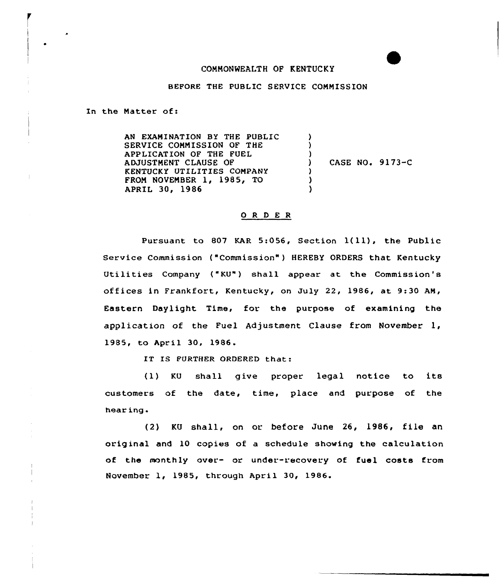## CONNONWEALTH OF KENTUCKY

## BEFORE THE PUBLIC SERVICE COMMISSION

In the Natter of:

AN EXAMINATION BY THE PUBLIC SERVICE COMMISSION OF THE APPLICATION OF THE FUEL ADJUSTNENT CLAUSE OF KENTUCKY UTILITIES COMPANY FROM NOVENBER 1, 1985, TO APRIL 30, 1986 ) ) ) CASE NO. 9173-C ) ) )

## 0 <sup>R</sup> <sup>D</sup> E <sup>R</sup>

Pursuant to <sup>807</sup> KAR 5:056, Section 1(ll), the Public Service Commission {"Commission") HEREBY ORDERS that Kentucky Utilities Company ("KU") shall appear at the Commission's offices in Frankfort, Kentucky, on July 22, 1986, at 9:30 AM, Eastern Daylight Time, for the purpose of examining the application of the Fuel Adjustment Clause from November 1, 1985, to April 30, 1986.

IT IS FURTHER ORDERED that:

(1) KU shall give proper legal notice to its customers of the date, time, place and purpose of the hear ing

(2) KU shall, on or before June 26, 1986, file an orig inal and 10 copies of a schedule shoving the calculation of the monthly over- or under-recovery of fuel costs from November 1, 1985, through April 30, 1986.